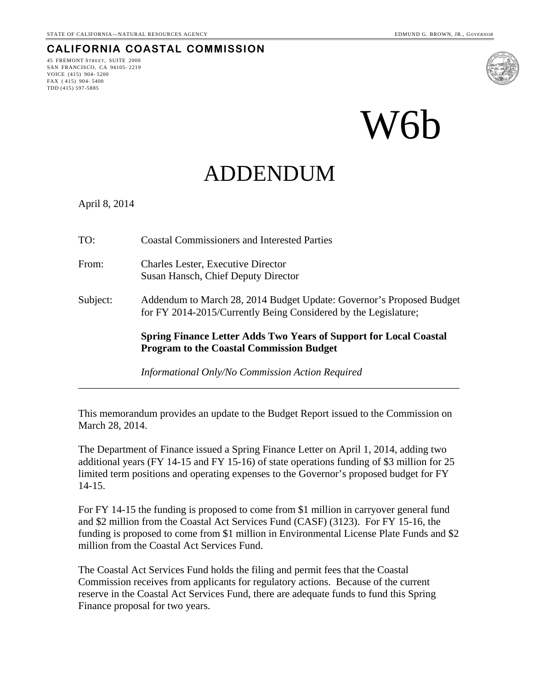## **CALIFORNIA COASTAL COMMISSION**

45 FREMONT STREET, SUITE 2000 SAN FRANCISCO, CA 94105- 2219 VOICE (415) 904- 5200 FAX ( 415) 904- 5400 TDD (415) 597-5885



W6b

# ADDENDUM

April 8, 2014

TO: Coastal Commissioners and Interested Parties From: Charles Lester, Executive Director Susan Hansch, Chief Deputy Director Subject: Addendum to March 28, 2014 Budget Update: Governor's Proposed Budget for FY 2014-2015/Currently Being Considered by the Legislature; **Spring Finance Letter Adds Two Years of Support for Local Coastal Program to the Coastal Commission Budget** 

*Informational Only/No Commission Action Required* 

This memorandum provides an update to the Budget Report issued to the Commission on March 28, 2014.

\_\_\_\_\_\_\_\_\_\_\_\_\_\_\_\_\_\_\_\_\_\_\_\_\_\_\_\_\_\_\_\_\_\_\_\_\_\_\_\_\_\_\_\_\_\_\_\_\_\_\_\_\_\_\_\_\_\_\_\_\_\_\_\_\_\_\_\_\_\_\_\_\_

The Department of Finance issued a Spring Finance Letter on April 1, 2014, adding two additional years (FY 14-15 and FY 15-16) of state operations funding of \$3 million for 25 limited term positions and operating expenses to the Governor's proposed budget for FY 14-15.

For FY 14-15 the funding is proposed to come from \$1 million in carryover general fund and \$2 million from the Coastal Act Services Fund (CASF) (3123). For FY 15-16, the funding is proposed to come from \$1 million in Environmental License Plate Funds and \$2 million from the Coastal Act Services Fund.

The Coastal Act Services Fund holds the filing and permit fees that the Coastal Commission receives from applicants for regulatory actions. Because of the current reserve in the Coastal Act Services Fund, there are adequate funds to fund this Spring Finance proposal for two years.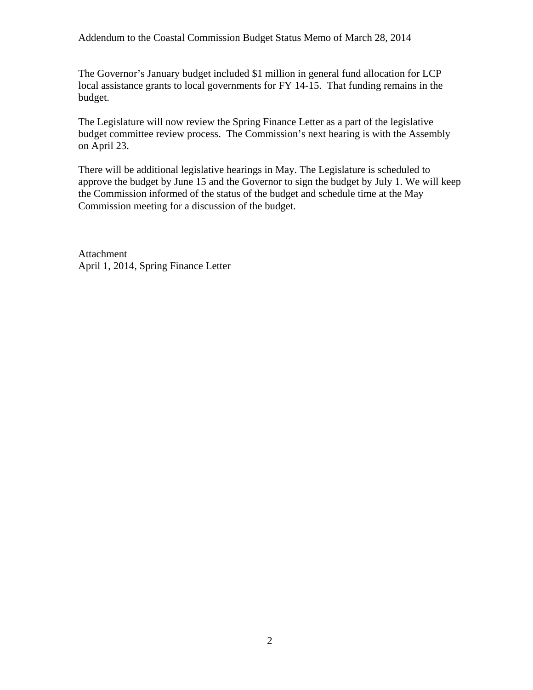Addendum to the Coastal Commission Budget Status Memo of March 28, 2014

The Governor's January budget included \$1 million in general fund allocation for LCP local assistance grants to local governments for FY 14-15. That funding remains in the budget.

The Legislature will now review the Spring Finance Letter as a part of the legislative budget committee review process. The Commission's next hearing is with the Assembly on April 23.

There will be additional legislative hearings in May. The Legislature is scheduled to approve the budget by June 15 and the Governor to sign the budget by July 1. We will keep the Commission informed of the status of the budget and schedule time at the May Commission meeting for a discussion of the budget.

Attachment April 1, 2014, Spring Finance Letter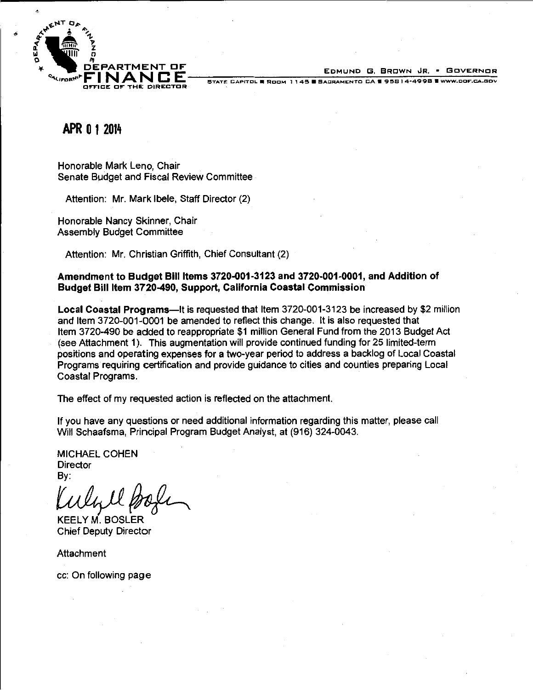

EDMUND G. BROWN JR. • GOVERNOR

BTATE CAPITOL & ROOM 1145 B SACRAMENTO CA 195814-4998 B WWW.DOF.CA.GOV

## **APR 0 1 2014**

Ą

Honorable Mark Leno, Chair Senate Budget and Fiscal Review Committee

Attention: Mr. Mark lbele, Staff Director (2)

Honorable Nancy Skinner, Chair Assembly Budget Committee

Attention: Mr. Christian Griffith, Chief Consultant (2)

### **Amendment to Budget Bill Items 3720-001-3123 and 3720-001-0001, and Addition of Budget Bill Item 3720-490, Support, California Coastal Commission**

**Local Coastal Programs-It** is requested that Item 3720-001-3123 be increased by \$2 million and Item 3720-001-0001 be amended to reflect this change. It is also requested that Item 3720-490 be added to reappropriate \$1 million General Fund from the 2013 Budget Act (see Attachment 1). This augmentation will provide continued funding for 25 limited-term positions and operating expenses for a two-year period to address a backlog of Local Coastal Programs requiring certification and provide guidance to cities and counties preparing Local Coastal Programs.

The effect of my requested action is reflected on the attachment.

If you have any questions or need additional information regarding this matter, please call Will Schaafsma, Principal Program Budget Analyst, at (916) 324-0043.

MICHAEL COHEN **Director** By:

Director<br>By:<br>KEELY M. BOSLER

Chief Deputy Director

**Attachment** 

cc: On following page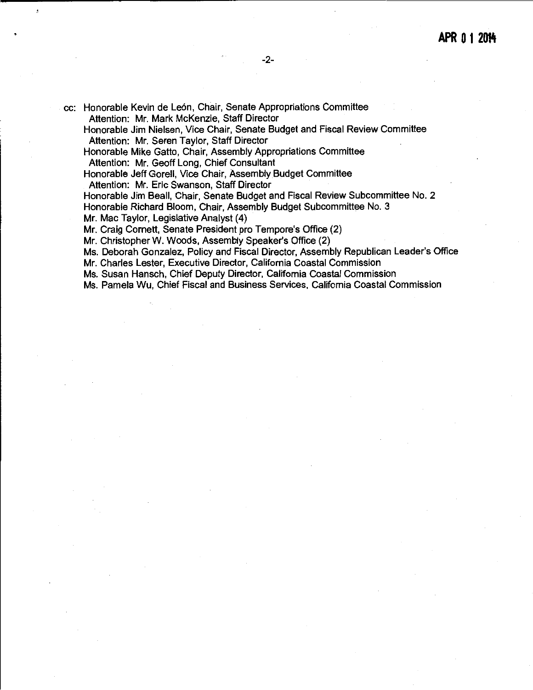cc: Honorable Kevin de León, Chair, Senate Appropriations Committee Attention: Mr. Mark McKenzie, Staff Director

Honorable Jim Nielsen, Vice Chair, Senate Budget and Fiscal Review Committee Attention: Mr. Seren Taylor, Staff Director

Honorable Mike Gatto, Chair, Assembly Appropriations Committee

Attention: Mr. Geoff Long, Chief Consultant

Honorable Jeff Gorell, Vice Chair, Assembly Budget Committee

Attention: Mr. Eric Swanson, Staff Director

Honorable Jim Beall, Chair, Senate Budget and Fiscal Review Subcommittee No. 2

Honorable Richard Bloom, Chair, Assembly Budget Subcommittee No. 3

Mr. Mac Taylor, Legislative Analyst (4)

Mr. Craig Cornett, Senate President pro Tempore's Office (2)

Mr. Christopher W. Woods, Assembly Speaker's Office (2)

Ms. Deborah Gonzalez, Policy and Fiscal Director, Assembly Republican Leader's Office Mr. Charles Lester, Executive Director, California Coastal Commission

Ms. Susan Hansch, Chief Deputy Director, California Coastal Commission

Ms. Pamela Wu, Chief Fiscal and Business Services, California Coastal Commission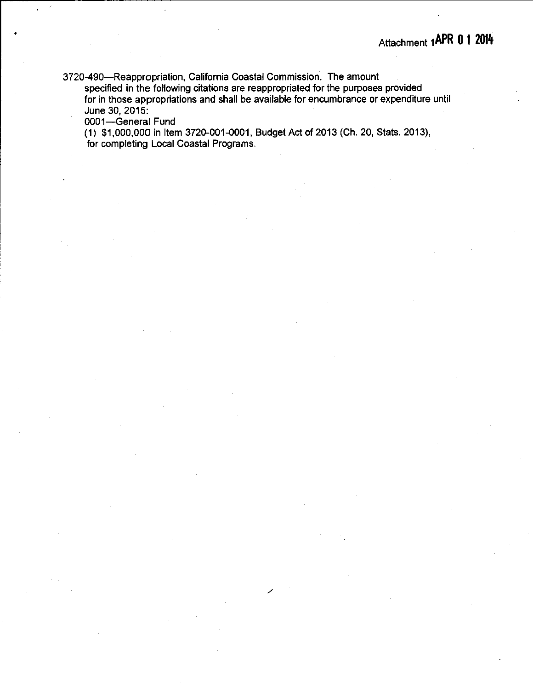3720-490-Reappropriation, California Coastal Commission. The amount specified in the following citations are reappropriated for the purposes provided for in those appropriations and shall be available for encumbrance or expenditure until June 30, 2015:

0001-General Fund

•

(1) \$1,000,000 in Item 3720-001-0001, Budget Act of 2013 (Ch. 20, Stats. 2013), for completing Local Coastal Programs.

/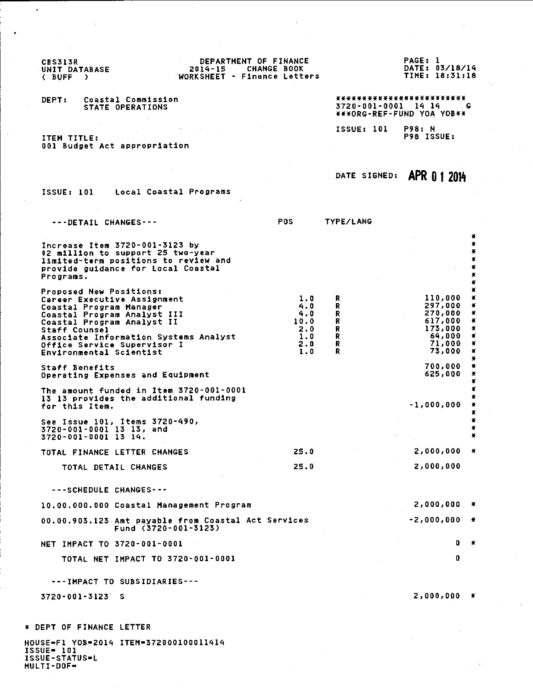CBS313R DEPARTMENT OF FINANCE 2014-15 CHANGE BOOK WORKSHEET - Finance Letters

PAGE DATE TIME: 18:31:18 1 03/18/14

2,000,000 •

\*\*\*\*\*\*\*\*\*\*\*\*\*\*\*\*\*\*\*\*\*\*\*\*\* 3720-001-0001 14 14 G •••ORG-REF-FUND YOA YOB••

> ISSUE: 101 P98: N<br>P98 ISSUE:

ITEM TITLE: DOl Budget Act appropriation

DEPT: Coastal Commission

STATE OPERATIONS

UNIT DATABASE ( BUFF )

## DATE SIGNED: **APR** 0 I **<sup>2014</sup>**

ISSUE: 101 Local Coastal Programs

| ---DETAIL CHANGES---                                                                                                                                                                                                                                               | <b>PDS</b>                                            | <b>TYPE/LANG</b>                            |                                                                                   |                                                                                                    |
|--------------------------------------------------------------------------------------------------------------------------------------------------------------------------------------------------------------------------------------------------------------------|-------------------------------------------------------|---------------------------------------------|-----------------------------------------------------------------------------------|----------------------------------------------------------------------------------------------------|
| Increase Item 3720-001-3123 by<br>\$2 million to support 25 two-year<br>limited-term positions to review and<br>provide guidance for Local Coastal<br>Programs.                                                                                                    |                                                       |                                             |                                                                                   | ×<br>$\bullet$<br>$\boldsymbol{\ast}$<br>¥<br>x<br>$\mathbf x$<br>¥                                |
| Proposed New Positions:<br>Career Executive Assignment<br>Coastal Program Manager<br>Coastal Program Analyst III<br>Coastal Program Analyst II<br>Staff Counsel<br>Associate Information Systems Analyst<br>Office Service Supervisor I<br>Environmental Scientist | 1.0<br>4.0<br>4.0<br>10.0<br>2.0<br>1.0<br>2.0<br>1.0 | R.<br>R<br>R.<br>R.<br>R.<br>R.<br>R.<br>R. | 110,000<br>297,000<br>270,000<br>617,000<br>173,000<br>64,000<br>71,000<br>73,000 | ¥<br>¥<br>¥<br>$\mathbf x$<br>$\mathbf x$<br>X<br>$\mathbf{H}$<br>$\mathbf{R}$<br>$\mathbf x$<br>美 |
| Staff Benefits<br>Operating Expenses and Equipment                                                                                                                                                                                                                 |                                                       |                                             | 700,000<br>625,000                                                                | $\tilde{\mathbf{x}}$<br>$\chi$<br>¥                                                                |
| The amount funded in Item 3720-001-0001<br>13 13 provides the additional funding<br>for this Item.<br>See Issue 101, Items 3720-490,<br>3720-001-0001 13 13, and                                                                                                   |                                                       |                                             | $-1,000,000$                                                                      | ¥<br>$\mathbf x$<br>$\mathbf x$<br>¥<br>¥<br>¥                                                     |
| 3720-001-0001 13 14.                                                                                                                                                                                                                                               |                                                       |                                             |                                                                                   | $\mathbf{r}$                                                                                       |
| TOTAL FINANCE LETTER CHANGES                                                                                                                                                                                                                                       | 25.0                                                  |                                             | 2,000,000                                                                         | $\mathbf{H}$                                                                                       |
| TOTAL DETAIL CHANGES                                                                                                                                                                                                                                               | 25.0                                                  |                                             | 2,000,000                                                                         |                                                                                                    |
| --- SCHEDULE CHANGES---                                                                                                                                                                                                                                            |                                                       |                                             |                                                                                   |                                                                                                    |
| 10,00,000,000 Coastal Management Program                                                                                                                                                                                                                           |                                                       |                                             | 2,000,000                                                                         | $\mathbf{H}$                                                                                       |
| aa aa aay tay gul uuluta gulu Calabal Aab Cambiaaa                                                                                                                                                                                                                 |                                                       |                                             | .J AAA AAA I                                                                      |                                                                                                    |

00.00.903.123 Amt payable from Coastal Act Services Fund (3720-001-3123) NET IMPACT TO 3720-001-0001 TOTAL NET IMPACT TO 3720-001-0001 -2,000,000 • 0 • 0

---IMPACT TO SUBSIDIARIES---

3720-001-3123 s

• DEPT OF FINANCE LETTER

HOUSE•F1 YOB•2014 ITEM•372000100011414 ISSUE• 101 ISSUE-STATUS•L HUL TI -DOF•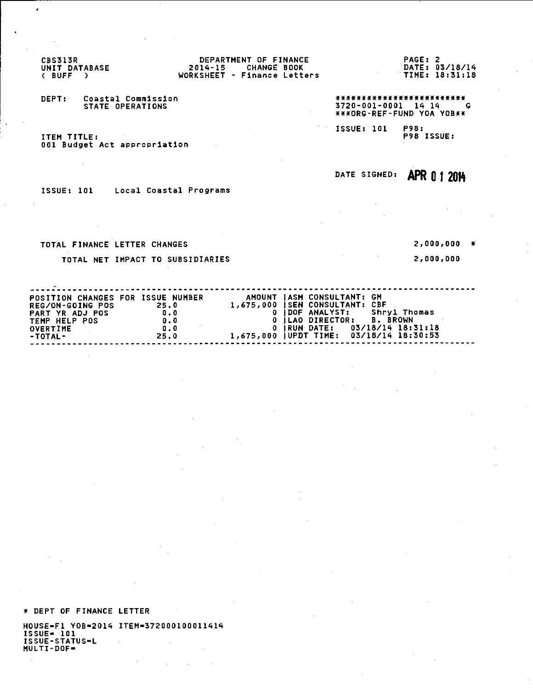UNIT DATABASE C BUFF )

 $\bullet$ 

## CBS313R DEPARTMENT OF FINANCE PAGE: 2 2014-15 CHANGE BOOK DATE: 03/18/14 WORKSHEET - Finance Letters TIME: 18:31:18

DEPT: Coastal Commission STATE OPERATIONS

\*\*\*\*\*\*\*\*\*\*\*\*\*\*\*\*\*\*\*\*\*\*\*\*\* 3720-001-0001 14 14 G \*\*\*ORG-REF-FUND YOA YOB<<

ISSUE: 101 P98: P98 ISSUE:

ITEM TITLE: 001 Budget Act appropriation

DATE SIGNED: **APR 0 1 2014** 

#### ISSUE: 101 Local Coastal Programs

TOTAL FINANCE LETTER CHANGES

2,000,000 •

2,000,000

TOTAL NET IMPACT TO SUBSIDIARIES

|                  | POSITION CHANGES FOR ISSUE NUMBER | AMOUNT IASM CONSULTANT: GM              |
|------------------|-----------------------------------|-----------------------------------------|
| REG/ON-GOING POS | 25.0                              | <b>1.675.000 ISEN CONSULTANT: CBF</b>   |
| PART YR ADJ POS  | 0.0                               | IDOF ANALYST: Shryl Thomas              |
| TEMP HELP POS    | 0.0                               | 0 ILAO DIRECTOR: B. BROWN               |
| OVERTIME         | 0.0                               | 1RUN DATE: 03/18/14 18:31:18            |
| -TOTAL-          | 25.0                              | 1,675,000 IUPDT TIME: 03/18/14 18:30:53 |
|                  |                                   |                                         |
|                  |                                   |                                         |

• DEPT OF FINANCE LETTER

HOUSE•F1 YOB•2014 ITEM•372000100011414 ISSUE• 101 ISSUE-STATUS•L ÷, MULTI-DOF•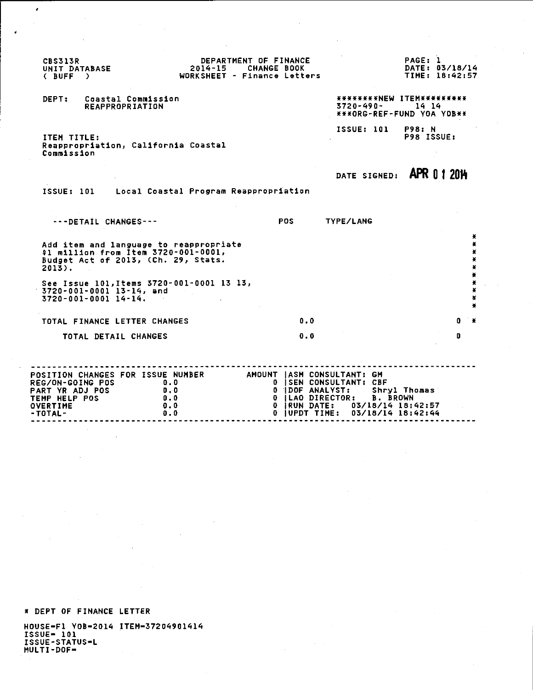| <b>CBS313R</b><br>UNIT DATABASE<br>(BUFF)                                                                        | 2014-15                                                                                                               | DEPARTMENT OF FINANCE<br><b>CHANGE BOOK</b><br>WORKSHEET - Finance Letters                |                                                                                               | PAGE: 1<br>DATE: 03/18/14<br>TIME: 18:42:57                             |
|------------------------------------------------------------------------------------------------------------------|-----------------------------------------------------------------------------------------------------------------------|-------------------------------------------------------------------------------------------|-----------------------------------------------------------------------------------------------|-------------------------------------------------------------------------|
| DEPT:<br><b>REAPPROPRIATION</b>                                                                                  | Coastal Commission                                                                                                    |                                                                                           | 3720-490-                                                                                     | *********NEW ITEM*********<br>14 14<br><b>***ORG-REF-FUND YOA YOB**</b> |
| ITEM TITLE:<br>Commission                                                                                        | Reappropriation, California Coastal                                                                                   |                                                                                           | ISSUE: 101                                                                                    | <b>P98: N</b><br>P98 ISSUE:                                             |
|                                                                                                                  |                                                                                                                       |                                                                                           | DATE SIGNED: APR 01 2014                                                                      |                                                                         |
|                                                                                                                  | ISSUE: 101 Local Coastal Program Reappropriation                                                                      |                                                                                           |                                                                                               |                                                                         |
| $--$ DETAIL CHANGES---                                                                                           |                                                                                                                       | <b>POS</b>                                                                                | <b>TYPE/LANG</b>                                                                              |                                                                         |
| $2013$ .                                                                                                         | Add item and language to reappropriate<br>\$1 million from Item 3720-001-0001,<br>Budget Act of 2013, (Ch. 29, Stats. |                                                                                           |                                                                                               | ¥<br>¥<br>¥<br>¥<br>¥                                                   |
| 3720-001-0001 13-14, and<br>3720-001-0001 14-14.                                                                 | See Issue 101. Items 3720-001-0001 13 13,                                                                             |                                                                                           |                                                                                               | ¥<br>¥<br>¥<br>¥<br>¥                                                   |
| TOTAL FINANCE LETTER CHANGES                                                                                     |                                                                                                                       | 0.0                                                                                       |                                                                                               | $0 \times$                                                              |
| TOTAL DETAIL CHANGES                                                                                             |                                                                                                                       | 0.0                                                                                       |                                                                                               | $\mathbf{u}$                                                            |
| POSITION CHANGES FOR ISSUE NUMBER<br>REG/ON-GOING POS<br>PART YR ADJ POS<br>TEMP HELP POS<br>OVERTIME<br>-TOTAL- | 0.0<br>0.0<br>0.0<br>0.0<br>0.0                                                                                       | AMOUNT IASM CONSULTANT: GM<br>0 IDOF ANALYST:<br>0 IRUN DATE:<br><b>IUPDT TIME:</b><br>0. | 0 ISEN CONSULTANT: CBF<br>0 ILAO DIRECTOR: B. BROWN<br>03/18/14 18:42:57<br>03/18/14 18:42:44 | Shryl Thomas                                                            |

 $\sim$ 

 $\hat{\boldsymbol{\gamma}}$ 

 $\bar{\gamma}$ 

 $\alpha = 1$ 

• DEPT OF FINANCE LETTER

 $\sim$ 

 $\bar{z}$ 

 $\sim$ 

'

 $\mathcal{A}^{\mathcal{A}}$ 

 $\sim$   $\sim$ 

HOUSE•F1 YOB•2014 ITEM•37204901414 ISSUE• 101 ISSUE-STATUS•L MUL TI-DOF•  $\frac{1}{2} \frac{1}{2} \frac{1}{2}$ 

 $\hat{\mathcal{L}}$ 

 $\sim$